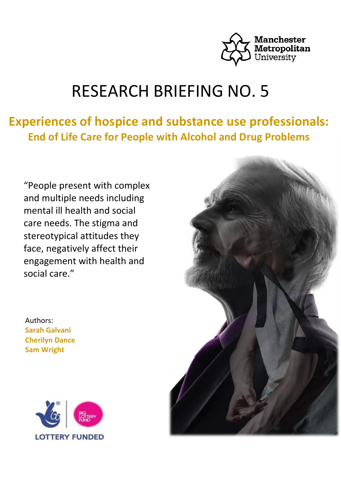

# RESEARCH BRIEFING NO. 5

## **Experiences of hospice and substance use professionals: End of Life Care for People with Alcohol and Drug Problems**

"People present with complex and multiple needs including mental ill health and social care needs. The stigma and stereotypical attitudes they face, negatively affect their engagement with health and social care."

Authors: **Sarah Galvani Cherilyn Dance Sam Wright**



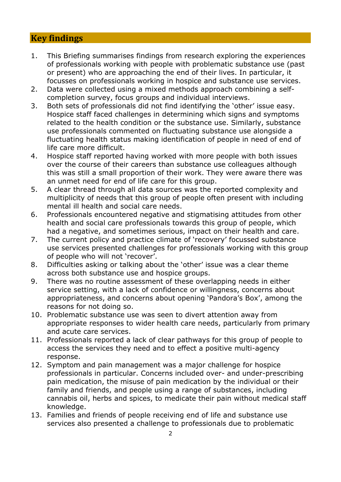## **Key findings**

- 1. This Briefing summarises findings from research exploring the experiences of professionals working with people with problematic substance use (past or present) who are approaching the end of their lives. In particular, it focusses on professionals working in hospice and substance use services.
- 2. Data were collected using a mixed methods approach combining a selfcompletion survey, focus groups and individual interviews.
- 3. Both sets of professionals did not find identifying the 'other' issue easy. Hospice staff faced challenges in determining which signs and symptoms related to the health condition or the substance use. Similarly, substance use professionals commented on fluctuating substance use alongside a fluctuating health status making identification of people in need of end of life care more difficult.
- 4. Hospice staff reported having worked with more people with both issues over the course of their careers than substance use colleagues although this was still a small proportion of their work. They were aware there was an unmet need for end of life care for this group.
- 5. A clear thread through all data sources was the reported complexity and multiplicity of needs that this group of people often present with including mental ill health and social care needs.
- 6. Professionals encountered negative and stigmatising attitudes from other health and social care professionals towards this group of people, which had a negative, and sometimes serious, impact on their health and care.
- 7. The current policy and practice climate of 'recovery' focussed substance use services presented challenges for professionals working with this group of people who will not 'recover'.
- 8. Difficulties asking or talking about the 'other' issue was a clear theme across both substance use and hospice groups.
- 9. There was no routine assessment of these overlapping needs in either service setting, with a lack of confidence or willingness, concerns about appropriateness, and concerns about opening 'Pandora's Box', among the reasons for not doing so.
- 10. Problematic substance use was seen to divert attention away from appropriate responses to wider health care needs, particularly from primary and acute care services.
- 11. Professionals reported a lack of clear pathways for this group of people to access the services they need and to effect a positive multi-agency response.
- 12. Symptom and pain management was a major challenge for hospice professionals in particular. Concerns included over- and under-prescribing pain medication, the misuse of pain medication by the individual or their family and friends, and people using a range of substances, including cannabis oil, herbs and spices, to medicate their pain without medical staff knowledge.
- 13. Families and friends of people receiving end of life and substance use services also presented a challenge to professionals due to problematic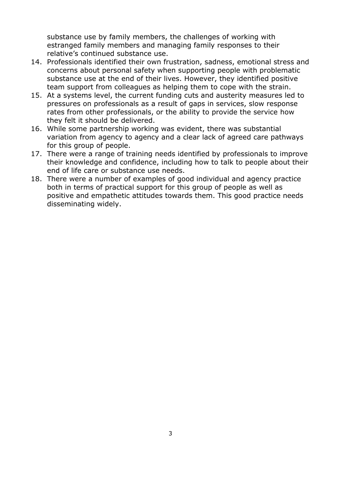substance use by family members, the challenges of working with estranged family members and managing family responses to their relative's continued substance use.

- 14. Professionals identified their own frustration, sadness, emotional stress and concerns about personal safety when supporting people with problematic substance use at the end of their lives. However, they identified positive team support from colleagues as helping them to cope with the strain.
- 15. At a systems level, the current funding cuts and austerity measures led to pressures on professionals as a result of gaps in services, slow response rates from other professionals, or the ability to provide the service how they felt it should be delivered.
- 16. While some partnership working was evident, there was substantial variation from agency to agency and a clear lack of agreed care pathways for this group of people.
- 17. There were a range of training needs identified by professionals to improve their knowledge and confidence, including how to talk to people about their end of life care or substance use needs.
- 18. There were a number of examples of good individual and agency practice both in terms of practical support for this group of people as well as positive and empathetic attitudes towards them. This good practice needs disseminating widely.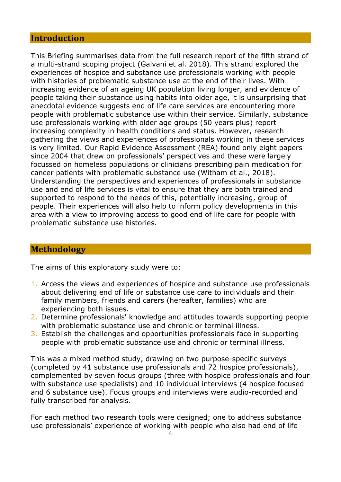## **Introduction**

This Briefing summarises data from the full research report of the fifth strand of a multi-strand scoping project (Galvani et al. 2018). This strand explored the experiences of hospice and substance use professionals working with people with histories of problematic substance use at the end of their lives. With increasing evidence of an ageing UK population living longer, and evidence of people taking their substance using habits into older age, it is unsurprising that anecdotal evidence suggests end of life care services are encountering more people with problematic substance use within their service. Similarly, substance use professionals working with older age groups (50 years plus) report increasing complexity in health conditions and status. However, research gathering the views and experiences of professionals working in these services is very limited. Our Rapid Evidence Assessment (REA) found only eight papers since 2004 that drew on professionals' perspectives and these were largely focussed on homeless populations or clinicians prescribing pain medication for cancer patients with problematic substance use (Witham et al., 2018). Understanding the perspectives and experiences of professionals in substance use and end of life services is vital to ensure that they are both trained and supported to respond to the needs of this, potentially increasing, group of people. Their experiences will also help to inform policy developments in this area with a view to improving access to good end of life care for people with problematic substance use histories.

## **Methodology**

The aims of this exploratory study were to:

- 1. Access the views and experiences of hospice and substance use professionals about delivering end of life or substance use care to individuals and their family members, friends and carers (hereafter, families) who are experiencing both issues.
- 2. Determine professionals' knowledge and attitudes towards supporting people with problematic substance use and chronic or terminal illness.
- 3. Establish the challenges and opportunities professionals face in supporting people with problematic substance use and chronic or terminal illness.

This was a mixed method study, drawing on two purpose-specific surveys (completed by 41 substance use professionals and 72 hospice professionals), complemented by seven focus groups (three with hospice professionals and four with substance use specialists) and 10 individual interviews (4 hospice focused and 6 substance use). Focus groups and interviews were audio-recorded and fully transcribed for analysis.

For each method two research tools were designed; one to address substance use professionals' experience of working with people who also had end of life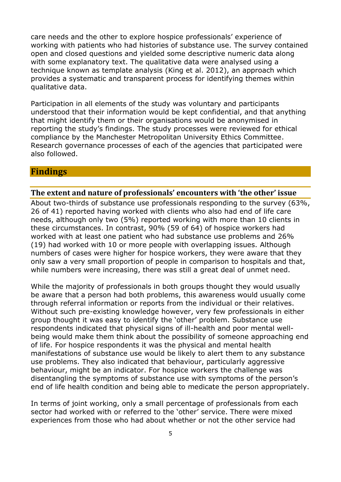care needs and the other to explore hospice professionals' experience of working with patients who had histories of substance use. The survey contained open and closed questions and yielded some descriptive numeric data along with some explanatory text. The qualitative data were analysed using a technique known as template analysis (King et al. 2012), an approach which provides a systematic and transparent process for identifying themes within qualitative data.

Participation in all elements of the study was voluntary and participants understood that their information would be kept confidential, and that anything that might identify them or their organisations would be anonymised in reporting the study's findings. The study processes were reviewed for ethical compliance by the Manchester Metropolitan University Ethics Committee. Research governance processes of each of the agencies that participated were also followed.

## **Findings**

#### **The extent and nature of professionals' encounters with 'the other' issue**

About two-thirds of substance use professionals responding to the survey (63%, 26 of 41) reported having worked with clients who also had end of life care needs, although only two (5%) reported working with more than 10 clients in these circumstances. In contrast, 90% (59 of 64) of hospice workers had worked with at least one patient who had substance use problems and 26% (19) had worked with 10 or more people with overlapping issues. Although numbers of cases were higher for hospice workers, they were aware that they only saw a very small proportion of people in comparison to hospitals and that, while numbers were increasing, there was still a great deal of unmet need.

While the majority of professionals in both groups thought they would usually be aware that a person had both problems, this awareness would usually come through referral information or reports from the individual or their relatives. Without such pre-existing knowledge however, very few professionals in either group thought it was easy to identify the 'other' problem. Substance use respondents indicated that physical signs of ill-health and poor mental wellbeing would make them think about the possibility of someone approaching end of life. For hospice respondents it was the physical and mental health manifestations of substance use would be likely to alert them to any substance use problems. They also indicated that behaviour, particularly aggressive behaviour, might be an indicator. For hospice workers the challenge was disentangling the symptoms of substance use with symptoms of the person's end of life health condition and being able to medicate the person appropriately.

In terms of joint working, only a small percentage of professionals from each sector had worked with or referred to the 'other' service. There were mixed experiences from those who had about whether or not the other service had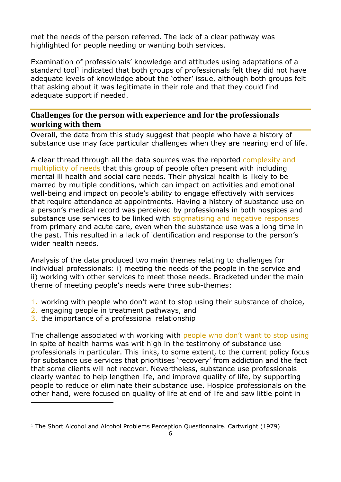met the needs of the person referred. The lack of a clear pathway was highlighted for people needing or wanting both services.

Examination of professionals' knowledge and attitudes using adaptations of a standard tool<sup>1</sup> indicated that both groups of professionals felt they did not have adequate levels of knowledge about the 'other' issue, although both groups felt that asking about it was legitimate in their role and that they could find adequate support if needed.

## **Challenges for the person with experience and for the professionals working with them**

Overall, the data from this study suggest that people who have a history of substance use may face particular challenges when they are nearing end of life.

A clear thread through all the data sources was the reported complexity and multiplicity of needs that this group of people often present with including mental ill health and social care needs. Their physical health is likely to be marred by multiple conditions, which can impact on activities and emotional well-being and impact on people's ability to engage effectively with services that require attendance at appointments. Having a history of substance use on a person's medical record was perceived by professionals in both hospices and substance use services to be linked with stigmatising and negative responses from primary and acute care, even when the substance use was a long time in the past. This resulted in a lack of identification and response to the person's wider health needs.

Analysis of the data produced two main themes relating to challenges for individual professionals: i) meeting the needs of the people in the service and ii) working with other services to meet those needs. Bracketed under the main theme of meeting people's needs were three sub-themes:

- 1. working with people who don't want to stop using their substance of choice,
- 2. engaging people in treatment pathways, and
- 3. the importance of a professional relationship

 $\overline{a}$ 

The challenge associated with working with people who don't want to stop using in spite of health harms was writ high in the testimony of substance use professionals in particular. This links, to some extent, to the current policy focus for substance use services that prioritises 'recovery' from addiction and the fact that some clients will not recover. Nevertheless, substance use professionals clearly wanted to help lengthen life, and improve quality of life, by supporting people to reduce or eliminate their substance use. Hospice professionals on the other hand, were focused on quality of life at end of life and saw little point in

<sup>&</sup>lt;sup>1</sup> The Short Alcohol and Alcohol Problems Perception Questionnaire. Cartwright (1979)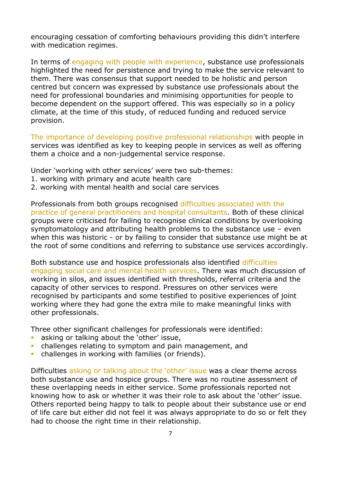encouraging cessation of comforting behaviours providing this didn't interfere with medication regimes.

In terms of engaging with people with experience, substance use professionals highlighted the need for persistence and trying to make the service relevant to them. There was consensus that support needed to be holistic and person centred but concern was expressed by substance use professionals about the need for professional boundaries and minimising opportunities for people to become dependent on the support offered. This was especially so in a policy climate, at the time of this study, of reduced funding and reduced service provision.

The importance of developing positive professional relationships with people in services was identified as key to keeping people in services as well as offering them a choice and a non-judgemental service response.

Under 'working with other services' were two sub-themes:

- 1. working with primary and acute health care
- 2. working with mental health and social care services

Professionals from both groups recognised difficulties associated with the practice of general practitioners and hospital consultants. Both of these clinical groups were criticised for failing to recognise clinical conditions by overlooking symptomatology and attributing health problems to the substance use – even when this was historic - or by failing to consider that substance use might be at the root of some conditions and referring to substance use services accordingly.

Both substance use and hospice professionals also identified difficulties engaging social care and mental health services. There was much discussion of working in silos, and issues identified with thresholds, referral criteria and the capacity of other services to respond. Pressures on other services were recognised by participants and some testified to positive experiences of joint working where they had gone the extra mile to make meaningful links with other professionals.

Three other significant challenges for professionals were identified:

- asking or talking about the 'other' issue,
- **•** challenges relating to symptom and pain management, and
- challenges in working with families (or friends).

Difficulties asking or talking about the 'other' issue was a clear theme across both substance use and hospice groups. There was no routine assessment of these overlapping needs in either service. Some professionals reported not knowing how to ask or whether it was their role to ask about the 'other' issue. Others reported being happy to talk to people about their substance use or end of life care but either did not feel it was always appropriate to do so or felt they had to choose the right time in their relationship.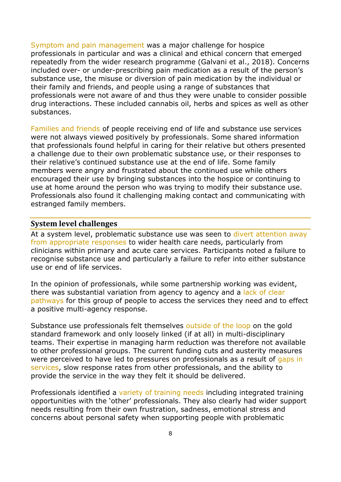Symptom and pain management was a major challenge for hospice professionals in particular and was a clinical and ethical concern that emerged repeatedly from the wider research programme (Galvani et al., 2018). Concerns included over- or under-prescribing pain medication as a result of the person's substance use, the misuse or diversion of pain medication by the individual or their family and friends, and people using a range of substances that professionals were not aware of and thus they were unable to consider possible drug interactions. These included cannabis oil, herbs and spices as well as other substances.

Families and friends of people receiving end of life and substance use services were not always viewed positively by professionals. Some shared information that professionals found helpful in caring for their relative but others presented a challenge due to their own problematic substance use, or their responses to their relative's continued substance use at the end of life. Some family members were angry and frustrated about the continued use while others encouraged their use by bringing substances into the hospice or continuing to use at home around the person who was trying to modify their substance use. Professionals also found it challenging making contact and communicating with estranged family members.

#### **System level challenges**

At a system level, problematic substance use was seen to divert attention away from appropriate responses to wider health care needs, particularly from clinicians within primary and acute care services. Participants noted a failure to recognise substance use and particularly a failure to refer into either substance use or end of life services.

In the opinion of professionals, while some partnership working was evident, there was substantial variation from agency to agency and a lack of clear pathways for this group of people to access the services they need and to effect a positive multi-agency response.

Substance use professionals felt themselves outside of the loop on the gold standard framework and only loosely linked (if at all) in multi-disciplinary teams. Their expertise in managing harm reduction was therefore not available to other professional groups. The current funding cuts and austerity measures were perceived to have led to pressures on professionals as a result of gaps in services, slow response rates from other professionals, and the ability to provide the service in the way they felt it should be delivered.

Professionals identified a variety of training needs including integrated training opportunities with the 'other' professionals. They also clearly had wider support needs resulting from their own frustration, sadness, emotional stress and concerns about personal safety when supporting people with problematic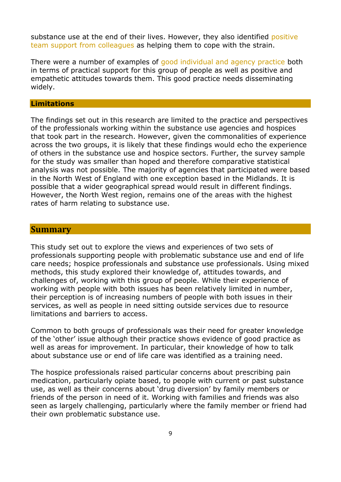substance use at the end of their lives. However, they also identified positive team support from colleagues as helping them to cope with the strain.

There were a number of examples of good individual and agency practice both in terms of practical support for this group of people as well as positive and empathetic attitudes towards them. This good practice needs disseminating widely.

#### **Limitations**

The findings set out in this research are limited to the practice and perspectives of the professionals working within the substance use agencies and hospices that took part in the research. However, given the commonalities of experience across the two groups, it is likely that these findings would echo the experience of others in the substance use and hospice sectors. Further, the survey sample for the study was smaller than hoped and therefore comparative statistical analysis was not possible. The majority of agencies that participated were based in the North West of England with one exception based in the Midlands. It is possible that a wider geographical spread would result in different findings. However, the North West region, remains one of the areas with the highest rates of harm relating to substance use.

#### **Summary**

This study set out to explore the views and experiences of two sets of professionals supporting people with problematic substance use and end of life care needs; hospice professionals and substance use professionals. Using mixed methods, this study explored their knowledge of, attitudes towards, and challenges of, working with this group of people. While their experience of working with people with both issues has been relatively limited in number, their perception is of increasing numbers of people with both issues in their services, as well as people in need sitting outside services due to resource limitations and barriers to access.

Common to both groups of professionals was their need for greater knowledge of the 'other' issue although their practice shows evidence of good practice as well as areas for improvement. In particular, their knowledge of how to talk about substance use or end of life care was identified as a training need.

The hospice professionals raised particular concerns about prescribing pain medication, particularly opiate based, to people with current or past substance use, as well as their concerns about 'drug diversion' by family members or friends of the person in need of it. Working with families and friends was also seen as largely challenging, particularly where the family member or friend had their own problematic substance use.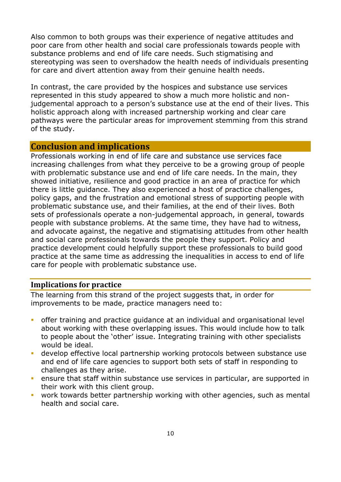Also common to both groups was their experience of negative attitudes and poor care from other health and social care professionals towards people with substance problems and end of life care needs. Such stigmatising and stereotyping was seen to overshadow the health needs of individuals presenting for care and divert attention away from their genuine health needs.

In contrast, the care provided by the hospices and substance use services represented in this study appeared to show a much more holistic and nonjudgemental approach to a person's substance use at the end of their lives. This holistic approach along with increased partnership working and clear care pathways were the particular areas for improvement stemming from this strand of the study.

### **Conclusion and implications**

Professionals working in end of life care and substance use services face increasing challenges from what they perceive to be a growing group of people with problematic substance use and end of life care needs. In the main, they showed initiative, resilience and good practice in an area of practice for which there is little guidance. They also experienced a host of practice challenges, policy gaps, and the frustration and emotional stress of supporting people with problematic substance use, and their families, at the end of their lives. Both sets of professionals operate a non-judgemental approach, in general, towards people with substance problems. At the same time, they have had to witness, and advocate against, the negative and stigmatising attitudes from other health and social care professionals towards the people they support. Policy and practice development could helpfully support these professionals to build good practice at the same time as addressing the inequalities in access to end of life care for people with problematic substance use.

#### **Implications for practice**

The learning from this strand of the project suggests that, in order for improvements to be made, practice managers need to:

- offer training and practice guidance at an individual and organisational level about working with these overlapping issues. This would include how to talk to people about the 'other' issue. Integrating training with other specialists would be ideal.
- **EXP** develop effective local partnership working protocols between substance use and end of life care agencies to support both sets of staff in responding to challenges as they arise.
- **EXECT** ensure that staff within substance use services in particular, are supported in their work with this client group.
- **•** work towards better partnership working with other agencies, such as mental health and social care.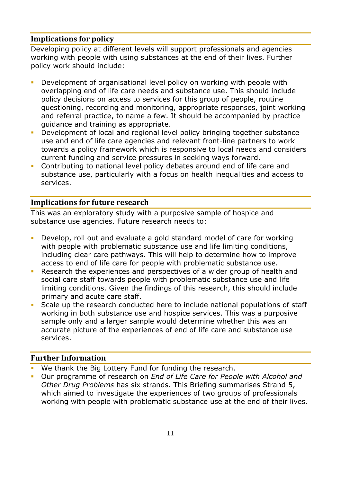## **Implications for policy**

Developing policy at different levels will support professionals and agencies working with people with using substances at the end of their lives. Further policy work should include:

- Development of organisational level policy on working with people with overlapping end of life care needs and substance use. This should include policy decisions on access to services for this group of people, routine questioning, recording and monitoring, appropriate responses, joint working and referral practice, to name a few. It should be accompanied by practice guidance and training as appropriate.
- **•** Development of local and regional level policy bringing together substance use and end of life care agencies and relevant front-line partners to work towards a policy framework which is responsive to local needs and considers current funding and service pressures in seeking ways forward.
- **Contributing to national level policy debates around end of life care and** substance use, particularly with a focus on health inequalities and access to services.

## **Implications for future research**

This was an exploratory study with a purposive sample of hospice and substance use agencies. Future research needs to:

- Develop, roll out and evaluate a gold standard model of care for working with people with problematic substance use and life limiting conditions, including clear care pathways. This will help to determine how to improve access to end of life care for people with problematic substance use.
- Research the experiences and perspectives of a wider group of health and social care staff towards people with problematic substance use and life limiting conditions. Given the findings of this research, this should include primary and acute care staff.
- **EXECTE 15 In the research conducted here to include national populations of staff** working in both substance use and hospice services. This was a purposive sample only and a larger sample would determine whether this was an accurate picture of the experiences of end of life care and substance use services.

## **Further Information**

- We thank the Big Lottery Fund for funding the research.
- Our programme of research on *End of Life Care for People with Alcohol and Other Drug Problems* has six strands. This Briefing summarises Strand 5, which aimed to investigate the experiences of two groups of professionals working with people with problematic substance use at the end of their lives.